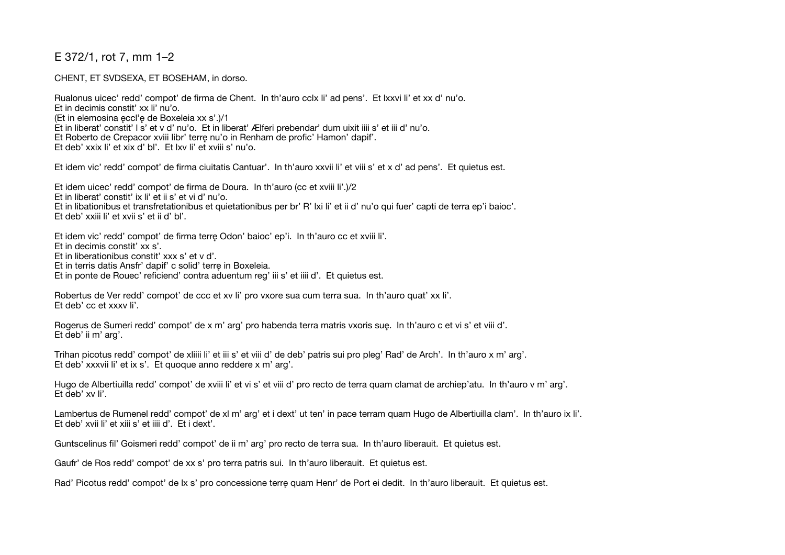## E 372/1, rot 7, mm 1–2

CHENT, ET SVDSEXA, ET BOSEHAM, in dorso.

Rualonus uicec' redd' compot' de firma de Chent. In th'auro cclx li' ad pens'. Et lxxvi li' et xx d' nu'o. Et in decimis constit' xx li' nu'o. (Et in elemosina ęccl'ę de Boxeleia xx s'.)/1 Et in liberat' constit' l s' et v d' nu'o. Et in liberat' Ælferi prebendar' dum uixit iiii s' et iii d' nu'o. Et Roberto de Crepacor xviii libr' terrę nu'o in Renham de profic' Hamon' dapif'. Et deb' xxix li' et xix d' bl'. Et lxv li' et xviii s' nu'o.

Et idem vic' redd' compot' de firma ciuitatis Cantuar'. In th'auro xxvii li' et viii s' et x d' ad pens'. Et quietus est.

Et idem uicec' redd' compot' de firma de Doura. In th'auro (cc et xviii li'.)/2 Et in liberat' constit' ix li' et ii s' et vi d' nu'o. Et in libationibus et transfretationibus et quietationibus per br' R' lxi li' et ii d' nu'o qui fuer' capti de terra ep'i baioc'. Et deb' xxiii li' et xvii s' et ii d' bl'.

Et idem vic' redd' compot' de firma terrę Odon' baioc' ep'i. In th'auro cc et xviii li'.

Et in decimis constit' xx s'.

Et in liberationibus constit' xxx s' et v d'.

Et in terris datis Ansfr' dapif' c solid' terrę in Boxeleia.

Et in ponte de Rouec' reficiend' contra aduentum reg' iii s' et iiii d'. Et quietus est.

Robertus de Ver redd' compot' de ccc et xv li' pro vxore sua cum terra sua. In th'auro quat' xx li'. Et deb' cc et xxxv li'.

Rogerus de Sumeri redd' compot' de x m' arg' pro habenda terra matris vxoris suę. In th'auro c et vi s' et viii d'. Et deb' ii m' arg'.

Trihan picotus redd' compot' de xliiii li' et iii s' et viii d' de deb' patris sui pro pleg' Rad' de Arch'. In th'auro x m' arg'. Et deb' xxxvii li' et ix s'. Et quoque anno reddere x m' arg'.

Hugo de Albertiuilla redd' compot' de xviii li' et vi s' et viii d' pro recto de terra quam clamat de archiep'atu. In th'auro v m' arg'. Et deb' xv li'.

Lambertus de Rumenel redd' compot' de xl m' arg' et i dext' ut ten' in pace terram quam Hugo de Albertiuilla clam'. In th'auro ix li'. Et deb' xvii li' et xiii s' et iiii d'. Et i dext'.

Guntscelinus fil' Goismeri redd' compot' de ii m' arg' pro recto de terra sua. In th'auro liberauit. Et quietus est.

Gaufr' de Ros redd' compot' de xx s' pro terra patris sui. In th'auro liberauit. Et quietus est.

Rad' Picotus redd' compot' de lx s' pro concessione terrę quam Henr' de Port ei dedit. In th'auro liberauit. Et quietus est.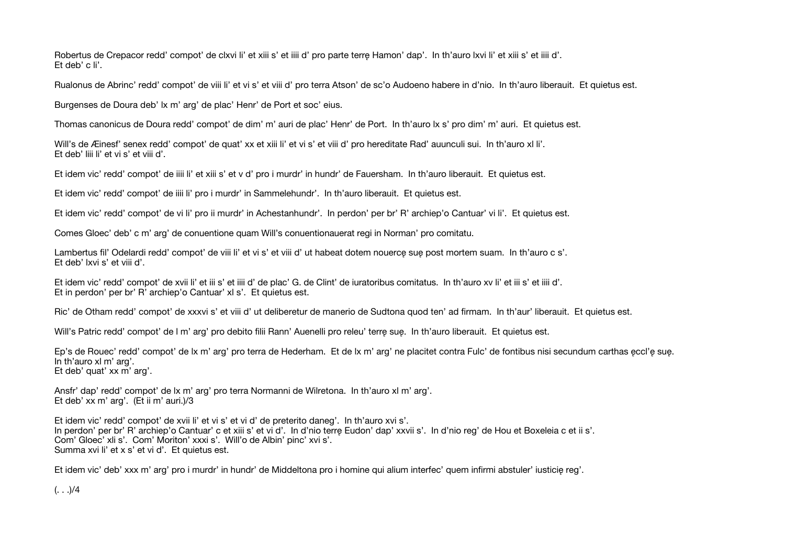Robertus de Crepacor redd' compot' de clxvi li' et xiii s' et iiii d' pro parte terrę Hamon' dap'. In th'auro lxvi li' et xiii s' et iiii d'. Et deb' c li'.

Rualonus de Abrinc' redd' compot' de viii li' et vi s' et viii d' pro terra Atson' de sc'o Audoeno habere in d'nio. In th'auro liberauit. Et quietus est.

Burgenses de Doura deb' lx m' arg' de plac' Henr' de Port et soc' eius.

Thomas canonicus de Doura redd' compot' de dim' m' auri de plac' Henr' de Port. In th'auro lx s' pro dim' m' auri. Et quietus est.

Will's de Æinesf' senex redd' compot' de quat' xx et xiii li' et vi s' et viii d' pro hereditate Rad' auunculi sui. In th'auro xl li'. Et deb' liii li' et vi s' et viii d'.

Et idem vic' redd' compot' de iiii li' et xiii s' et v d' pro i murdr' in hundr' de Fauersham. In th'auro liberauit. Et quietus est.

Et idem vic' redd' compot' de iiii li' pro i murdr' in Sammelehundr'. In th'auro liberauit. Et quietus est.

Et idem vic' redd' compot' de vi li' pro ii murdr' in Achestanhundr'. In perdon' per br' R' archiep'o Cantuar' vi li'. Et quietus est.

Comes Gloec' deb' c m' arg' de conuentione quam Will's conuentionauerat regi in Norman' pro comitatu.

Lambertus fil' Odelardi redd' compot' de viii li' et vi s' et viii d' ut habeat dotem nouercę suę post mortem suam. In th'auro c s'. Et deb' lxvi s' et viii d'.

Et idem vic' redd' compot' de xvii li' et iii s' et iiii d' de plac' G. de Clint' de iuratoribus comitatus. In th'auro xv li' et iii s' et iiii d'. Et in perdon' per br' R' archiep'o Cantuar' xl s'. Et quietus est.

Ric' de Otham redd' compot' de xxxvi s' et viii d' ut deliberetur de manerio de Sudtona quod ten' ad firmam. In th'aur' liberauit. Et quietus est.

Will's Patric redd' compot' de l m' arg' pro debito filii Rann' Auenelli pro releu' terrę suę. In th'auro liberauit. Et quietus est.

Ep's de Rouec' redd' compot' de lx m' arg' pro terra de Hederham. Et de lx m' arg' ne placitet contra Fulc' de fontibus nisi secundum carthas ęccl'ę suę. In th'auro xl m' arg'. Et deb' quat' xx m' arg'.

Ansfr' dap' redd' compot' de lx m' arg' pro terra Normanni de Wilretona. In th'auro xl m' arg'. Et deb' xx m' arg'. (Et ii m' auri.)/3

Et idem vic' redd' compot' de xvii li' et vi s' et vi d' de preterito daneg'. In th'auro xvi s'. In perdon' per br' R' archiep'o Cantuar' c et xiii s' et vi d'. In d'nio terrę Eudon' dap' xxvii s'. In d'nio reg' de Hou et Boxeleia c et ii s'. Com' Gloec' xli s'. Com' Moriton' xxxi s'. Will'o de Albin' pinc' xvi s'. Summa xvi li' et x s' et vi d'. Et quietus est.

Et idem vic' deb' xxx m' arg' pro i murdr' in hundr' de Middeltona pro i homine qui alium interfec' quem infirmi abstuler' iusticię reg'.

 $(. \ .) / 4$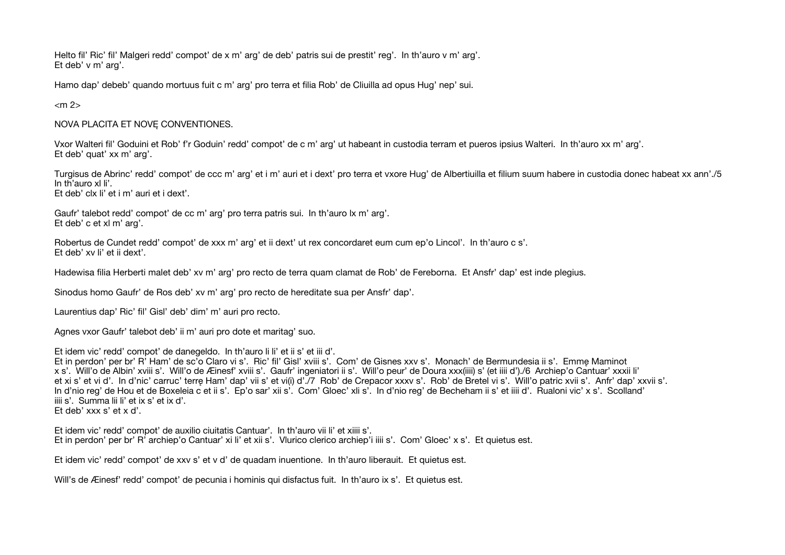Helto fil' Ric' fil' Malgeri redd' compot' de x m' arg' de deb' patris sui de prestit' reg'. In th'auro v m' arg'. Et deb' v m' arg'.

Hamo dap' debeb' quando mortuus fuit c m' arg' pro terra et filia Rob' de Cliuilla ad opus Hug' nep' sui.

 $<$ m $2$ 

NOVA PLACITA ET NOVĘ CONVENTIONES.

Vxor Walteri fil' Goduini et Rob' f'r Goduin' redd' compot' de c m' arg' ut habeant in custodia terram et pueros ipsius Walteri. In th'auro xx m' arg'. Et deb' quat' xx m' arg'.

Turgisus de Abrinc' redd' compot' de ccc m' arg' et i m' auri et i dext' pro terra et vxore Hug' de Albertiuilla et filium suum habere in custodia donec habeat xx ann'./5 In th'auro xl li'. Et deb' clx li' et i m' auri et i dext'.

Gaufr' talebot redd' compot' de cc m' arg' pro terra patris sui. In th'auro lx m' arg'. Et deb' c et xl m' arg'.

Robertus de Cundet redd' compot' de xxx m' arg' et ii dext' ut rex concordaret eum cum ep'o Lincol'. In th'auro c s'. Et deb' xv li' et ii dext'.

Hadewisa filia Herberti malet deb' xv m' arg' pro recto de terra quam clamat de Rob' de Fereborna. Et Ansfr' dap' est inde plegius.

Sinodus homo Gaufr' de Ros deb' xv m' arg' pro recto de hereditate sua per Ansfr' dap'.

Laurentius dap' Ric' fil' Gisl' deb' dim' m' auri pro recto.

Agnes vxor Gaufr' talebot deb' ii m' auri pro dote et maritag' suo.

Et idem vic' redd' compot' de danegeldo. In th'auro li li' et ii s' et iii d'.

Et in perdon' per br' R' Ham' de sc'o Claro vi s'. Ric' fil' Gisl' xviii s'. Com' de Gisnes xxv s'. Monach' de Bermundesia ii s'. Emmę Maminot x s'. Will'o de Albin' xviii s'. Will'o de Æinesf' xviii s'. Gaufr' ingeniatori ii s'. Will'o peur' de Doura xxx(iiii) s' (et iiii d')./6 Archiep'o Cantuar' xxxii li' et xi s' et vi d'. In d'nic' carruc' terre Ham' dap' vii s' et vi(i) d'./7 Rob' de Crepacor xxxv s'. Rob' de Bretel vi s'. Will'o patric xvii s'. Anfr' dap' xxvii s'. In d'nio reg' de Hou et de Boxeleia c et ii s'. Ep'o sar' xii s'. Com' Gloec' xli s'. In d'nio reg' de Becheham ii s' et iiii d'. Rualoni vic' x s'. Scolland' iiii s'. Summa lii li' et ix s' et ix d'.

Et deb' xxx s' et x d'.

Et idem vic' redd' compot' de auxilio ciuitatis Cantuar'. In th'auro vii li' et xiiii s'. Et in perdon' per br' R' archiep'o Cantuar' xi li' et xii s'. Vlurico clerico archiep'i iiii s'. Com' Gloec' x s'. Et quietus est.

Et idem vic' redd' compot' de xxv s' et v d' de quadam inuentione. In th'auro liberauit. Et quietus est.

Will's de Æinesf' redd' compot' de pecunia i hominis qui disfactus fuit. In th'auro ix s'. Et quietus est.